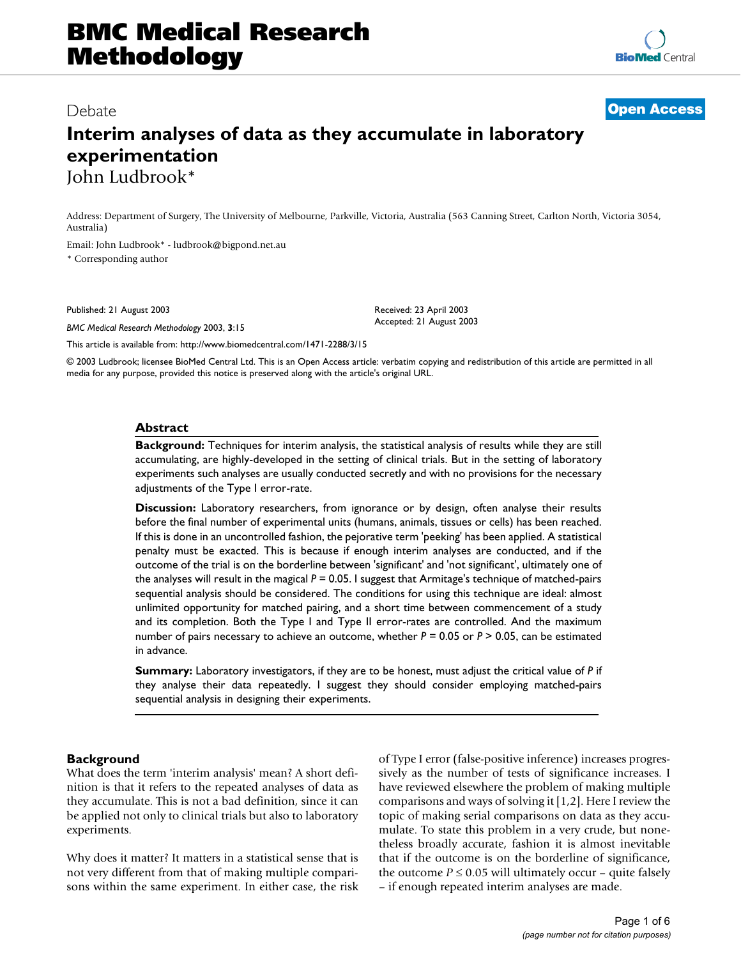# Debate **[Open Access](http://www.biomedcentral.com/info/about/charter/)**

# **Interim analyses of data as they accumulate in laboratory experimentation** John Ludbrook\*

Address: Department of Surgery, The University of Melbourne, Parkville, Victoria, Australia (563 Canning Street, Carlton North, Victoria 3054, Australia)

Email: John Ludbrook\* - ludbrook@bigpond.net.au \* Corresponding author

Published: 21 August 2003

*BMC Medical Research Methodology* 2003, **3**:15

Received: 23 April 2003 Accepted: 21 August 2003

[This article is available from: http://www.biomedcentral.com/1471-2288/3/15](http://www.biomedcentral.com/1471-2288/3/15)

© 2003 Ludbrook; licensee BioMed Central Ltd. This is an Open Access article: verbatim copying and redistribution of this article are permitted in all media for any purpose, provided this notice is preserved along with the article's original URL.

# **Abstract**

**Background:** Techniques for interim analysis, the statistical analysis of results while they are still accumulating, are highly-developed in the setting of clinical trials. But in the setting of laboratory experiments such analyses are usually conducted secretly and with no provisions for the necessary adjustments of the Type I error-rate.

**Discussion:** Laboratory researchers, from ignorance or by design, often analyse their results before the final number of experimental units (humans, animals, tissues or cells) has been reached. If this is done in an uncontrolled fashion, the pejorative term 'peeking' has been applied. A statistical penalty must be exacted. This is because if enough interim analyses are conducted, and if the outcome of the trial is on the borderline between 'significant' and 'not significant', ultimately one of the analyses will result in the magical *P* = 0.05. I suggest that Armitage's technique of matched-pairs sequential analysis should be considered. The conditions for using this technique are ideal: almost unlimited opportunity for matched pairing, and a short time between commencement of a study and its completion. Both the Type I and Type II error-rates are controlled. And the maximum number of pairs necessary to achieve an outcome, whether *P* = 0.05 or *P* > 0.05, can be estimated in advance.

**Summary:** Laboratory investigators, if they are to be honest, must adjust the critical value of *P* if they analyse their data repeatedly. I suggest they should consider employing matched-pairs sequential analysis in designing their experiments.

# **Background**

What does the term 'interim analysis' mean? A short definition is that it refers to the repeated analyses of data as they accumulate. This is not a bad definition, since it can be applied not only to clinical trials but also to laboratory experiments.

Why does it matter? It matters in a statistical sense that is not very different from that of making multiple comparisons within the same experiment. In either case, the risk of Type I error (false-positive inference) increases progressively as the number of tests of significance increases. I have reviewed elsewhere the problem of making multiple comparisons and ways of solving it [1,2]. Here I review the topic of making serial comparisons on data as they accumulate. To state this problem in a very crude, but nonetheless broadly accurate, fashion it is almost inevitable that if the outcome is on the borderline of significance, the outcome  $P \le 0.05$  will ultimately occur – quite falsely – if enough repeated interim analyses are made.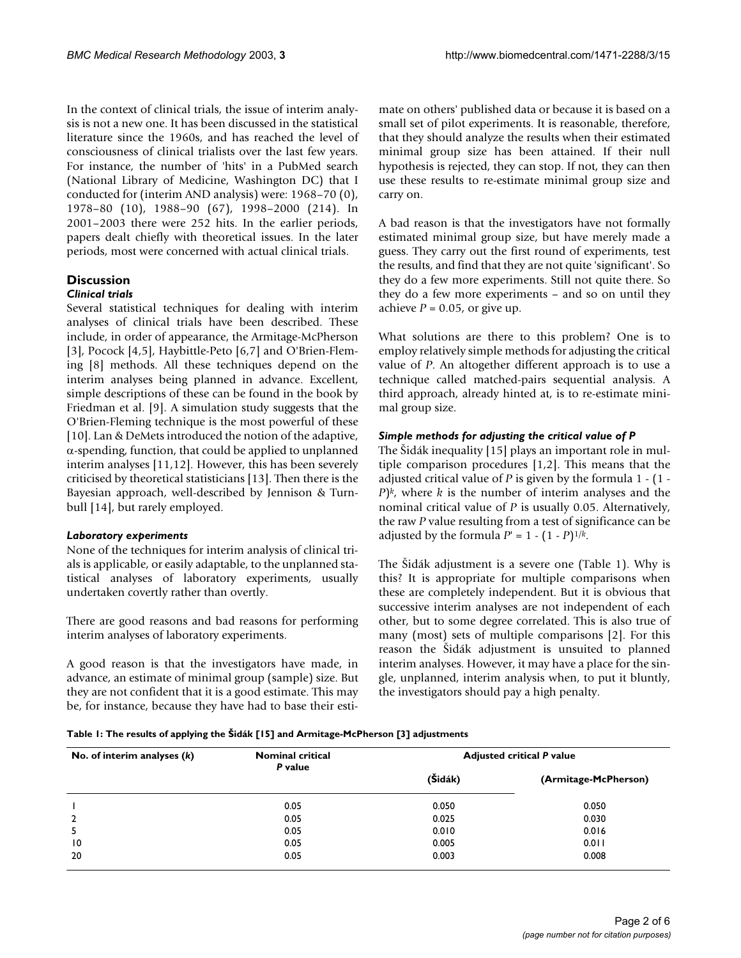In the context of clinical trials, the issue of interim analysis is not a new one. It has been discussed in the statistical literature since the 1960s, and has reached the level of consciousness of clinical trialists over the last few years. For instance, the number of 'hits' in a PubMed search (National Library of Medicine, Washington DC) that I conducted for (interim AND analysis) were: 1968–70 (0), 1978–80 (10), 1988–90 (67), 1998–2000 (214). In 2001–2003 there were 252 hits. In the earlier periods, papers dealt chiefly with theoretical issues. In the later periods, most were concerned with actual clinical trials.

# **Discussion**

# *Clinical trials*

Several statistical techniques for dealing with interim analyses of clinical trials have been described. These include, in order of appearance, the Armitage-McPherson [3], Pocock [4,5], Haybittle-Peto [6,7] and O'Brien-Fleming [8] methods. All these techniques depend on the interim analyses being planned in advance. Excellent, simple descriptions of these can be found in the book by Friedman et al. [9]. A simulation study suggests that the O'Brien-Fleming technique is the most powerful of these [10]. Lan & DeMets introduced the notion of the adaptive, α-spending, function, that could be applied to unplanned interim analyses [11,12]. However, this has been severely criticised by theoretical statisticians [13]. Then there is the Bayesian approach, well-described by Jennison & Turnbull [14], but rarely employed.

# *Laboratory experiments*

None of the techniques for interim analysis of clinical trials is applicable, or easily adaptable, to the unplanned statistical analyses of laboratory experiments, usually undertaken covertly rather than overtly.

There are good reasons and bad reasons for performing interim analyses of laboratory experiments.

A good reason is that the investigators have made, in advance, an estimate of minimal group (sample) size. But they are not confident that it is a good estimate. This may be, for instance, because they have had to base their estimate on others' published data or because it is based on a small set of pilot experiments. It is reasonable, therefore, that they should analyze the results when their estimated minimal group size has been attained. If their null hypothesis is rejected, they can stop. If not, they can then use these results to re-estimate minimal group size and carry on.

A bad reason is that the investigators have not formally estimated minimal group size, but have merely made a guess. They carry out the first round of experiments, test the results, and find that they are not quite 'significant'. So they do a few more experiments. Still not quite there. So they do a few more experiments – and so on until they achieve  $P = 0.05$ , or give up.

What solutions are there to this problem? One is to employ relatively simple methods for adjusting the critical value of *P*. An altogether different approach is to use a technique called matched-pairs sequential analysis. A third approach, already hinted at, is to re-estimate minimal group size.

# *Simple methods for adjusting the critical value of P*

The Šidák inequality [15] plays an important role in multiple comparison procedures [1,2]. This means that the adjusted critical value of *P* is given by the formula 1 - (1 - *P*)*<sup>k</sup>*, where *k* is the number of interim analyses and the nominal critical value of *P* is usually 0.05. Alternatively, the raw *P* value resulting from a test of significance can be adjusted by the formula  $P' = 1 - (1 - P)^{1/k}$ .

The Šidák adjustment is a severe one (Table [1\)](#page-1-0). Why is this? It is appropriate for multiple comparisons when these are completely independent. But it is obvious that successive interim analyses are not independent of each other, but to some degree correlated. This is also true of many (most) sets of multiple comparisons [2]. For this reason the Šidák adjustment is unsuited to planned interim analyses. However, it may have a place for the single, unplanned, interim analysis when, to put it bluntly, the investigators should pay a high penalty.

# <span id="page-1-0"></span>**Table 1: The results of applying the Šidák [15] and Armitage-McPherson [3] adjustments**

| No. of interim analyses (k) | <b>Nominal critical</b><br>P value | <b>Adjusted critical P value</b> |                      |
|-----------------------------|------------------------------------|----------------------------------|----------------------|
|                             |                                    | (Šidák)                          | (Armitage-McPherson) |
|                             | 0.05                               | 0.050                            | 0.050                |
| $\overline{2}$              | 0.05                               | 0.025                            | 0.030                |
| 5                           | 0.05                               | 0.010                            | 0.016                |
| $\overline{10}$             | 0.05                               | 0.005                            | 0.011                |
| 20                          | 0.05                               | 0.003                            | 0.008                |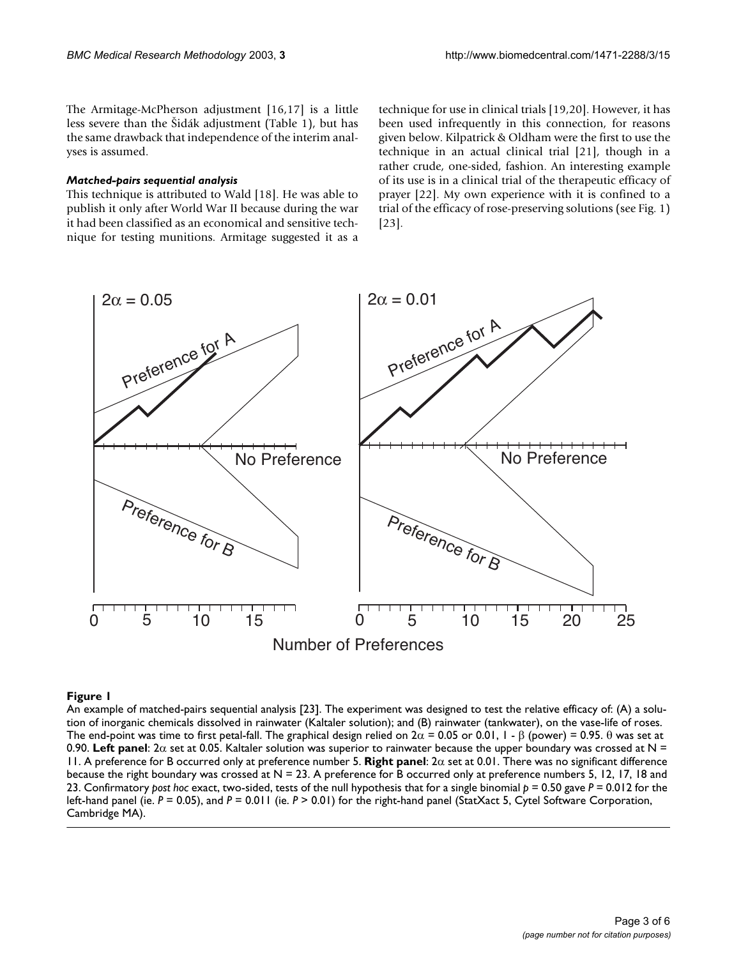The Armitage-McPherson adjustment [16,17] is a little less severe than the Šidák adjustment (Table [1](#page-1-0)), but has the same drawback that independence of the interim analyses is assumed.

#### *Matched-pairs sequential analysis*

This technique is attributed to Wald [18]. He was able to publish it only after World War II because during the war it had been classified as an economical and sensitive technique for testing munitions. Armitage suggested it as a technique for use in clinical trials [19,20]. However, it has been used infrequently in this connection, for reasons given below. Kilpatrick & Oldham were the first to use the technique in an actual clinical trial [21], though in a rather crude, one-sided, fashion. An interesting example of its use is in a clinical trial of the therapeutic efficacy of prayer [22]. My own experience with it is confined to a trial of the efficacy of rose-preserving solutions (see Fig. 1) [23].



### **Figure 1**

An example of matched-pairs sequential analysis [23]. The experiment was designed to test the relative efficacy of: (A) a solution of inorganic chemicals dissolved in rainwater (Kaltaler solution); and (B) rainwater (tankwater), on the vase-life of roses. The end-point was time to first petal-fall. The graphical design relied on  $2\alpha = 0.05$  or 0.01, 1 -  $\beta$  (power) = 0.95.  $\theta$  was set at 0.90. **Left panel**: 2α set at 0.05. Kaltaler solution was superior to rainwater because the upper boundary was crossed at N = 11. A preference for B occurred only at preference number 5. **Right panel**: 2α set at 0.01. There was no significant difference because the right boundary was crossed at  $N = 23$ . A preference for B occurred only at preference numbers 5, 12, 17, 18 and 23. Confirmatory *post hoc* exact, two-sided, tests of the null hypothesis that for a single binomial *p* = 0.50 gave *P* = 0.012 for the left-hand panel (ie. *P* = 0.05), and *P* = 0.011 (ie. *P* > 0.01) for the right-hand panel (StatXact 5, Cytel Software Corporation, Cambridge MA).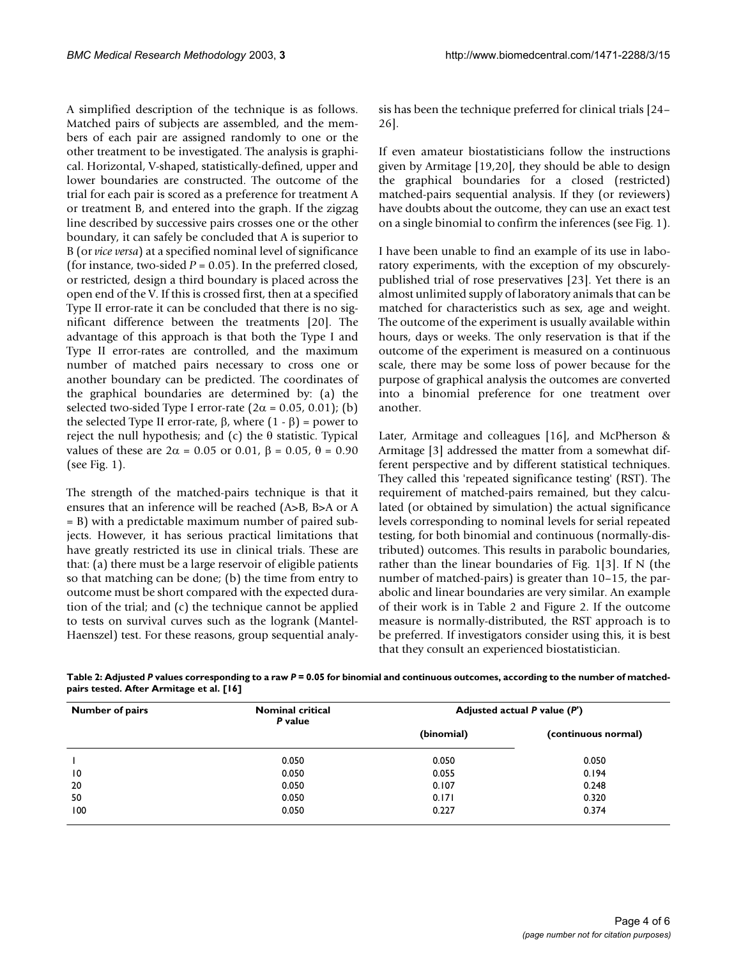A simplified description of the technique is as follows. Matched pairs of subjects are assembled, and the members of each pair are assigned randomly to one or the other treatment to be investigated. The analysis is graphical. Horizontal, V-shaped, statistically-defined, upper and lower boundaries are constructed. The outcome of the trial for each pair is scored as a preference for treatment A or treatment B, and entered into the graph. If the zigzag line described by successive pairs crosses one or the other boundary, it can safely be concluded that A is superior to B (or *vice versa*) at a specified nominal level of significance (for instance, two-sided  $P = 0.05$ ). In the preferred closed, or restricted, design a third boundary is placed across the open end of the V. If this is crossed first, then at a specified Type II error-rate it can be concluded that there is no significant difference between the treatments [20]. The advantage of this approach is that both the Type I and Type II error-rates are controlled, and the maximum number of matched pairs necessary to cross one or another boundary can be predicted. The coordinates of the graphical boundaries are determined by: (a) the selected two-sided Type I error-rate  $(2\alpha = 0.05, 0.01)$ ; (b) the selected Type II error-rate,  $\beta$ , where  $(1 - \beta)$  = power to reject the null hypothesis; and (c) the  $θ$  statistic. Typical values of these are  $2\alpha = 0.05$  or 0.01,  $\beta = 0.05$ ,  $\theta = 0.90$ (see Fig. 1).

The strength of the matched-pairs technique is that it ensures that an inference will be reached (A>B, B>A or A = B) with a predictable maximum number of paired subjects. However, it has serious practical limitations that have greatly restricted its use in clinical trials. These are that: (a) there must be a large reservoir of eligible patients so that matching can be done; (b) the time from entry to outcome must be short compared with the expected duration of the trial; and (c) the technique cannot be applied to tests on survival curves such as the logrank (Mantel-Haenszel) test. For these reasons, group sequential analysis has been the technique preferred for clinical trials [24– 26].

If even amateur biostatisticians follow the instructions given by Armitage [19,20], they should be able to design the graphical boundaries for a closed (restricted) matched-pairs sequential analysis. If they (or reviewers) have doubts about the outcome, they can use an exact test on a single binomial to confirm the inferences (see Fig. 1).

I have been unable to find an example of its use in laboratory experiments, with the exception of my obscurelypublished trial of rose preservatives [23]. Yet there is an almost unlimited supply of laboratory animals that can be matched for characteristics such as sex, age and weight. The outcome of the experiment is usually available within hours, days or weeks. The only reservation is that if the outcome of the experiment is measured on a continuous scale, there may be some loss of power because for the purpose of graphical analysis the outcomes are converted into a binomial preference for one treatment over another.

Later, Armitage and colleagues [16], and McPherson & Armitage [3] addressed the matter from a somewhat different perspective and by different statistical techniques. They called this 'repeated significance testing' (RST). The requirement of matched-pairs remained, but they calculated (or obtained by simulation) the actual significance levels corresponding to nominal levels for serial repeated testing, for both binomial and continuous (normally-distributed) outcomes. This results in parabolic boundaries, rather than the linear boundaries of Fig. 1[3]. If N (the number of matched-pairs) is greater than 10–15, the parabolic and linear boundaries are very similar. An example of their work is in Table [2](#page-3-0) and Figure 2. If the outcome measure is normally-distributed, the RST approach is to be preferred. If investigators consider using this, it is best that they consult an experienced biostatistician.

<span id="page-3-0"></span>

| Table 2: Adjusted P values corresponding to a raw P = 0.05 for binomial and continuous outcomes, according to the number of matched- |  |
|--------------------------------------------------------------------------------------------------------------------------------------|--|
| pairs tested. After Armitage et al. [16]                                                                                             |  |

| <b>Number of pairs</b> | <b>Nominal critical</b><br>P value | Adjusted actual P value (P') |                     |
|------------------------|------------------------------------|------------------------------|---------------------|
|                        |                                    | (binomial)                   | (continuous normal) |
|                        | 0.050                              | 0.050                        | 0.050               |
| $\overline{10}$        | 0.050                              | 0.055                        | 0.194               |
| 20                     | 0.050                              | 0.107                        | 0.248               |
| 50                     | 0.050                              | 0.171                        | 0.320               |
| 100                    | 0.050                              | 0.227                        | 0.374               |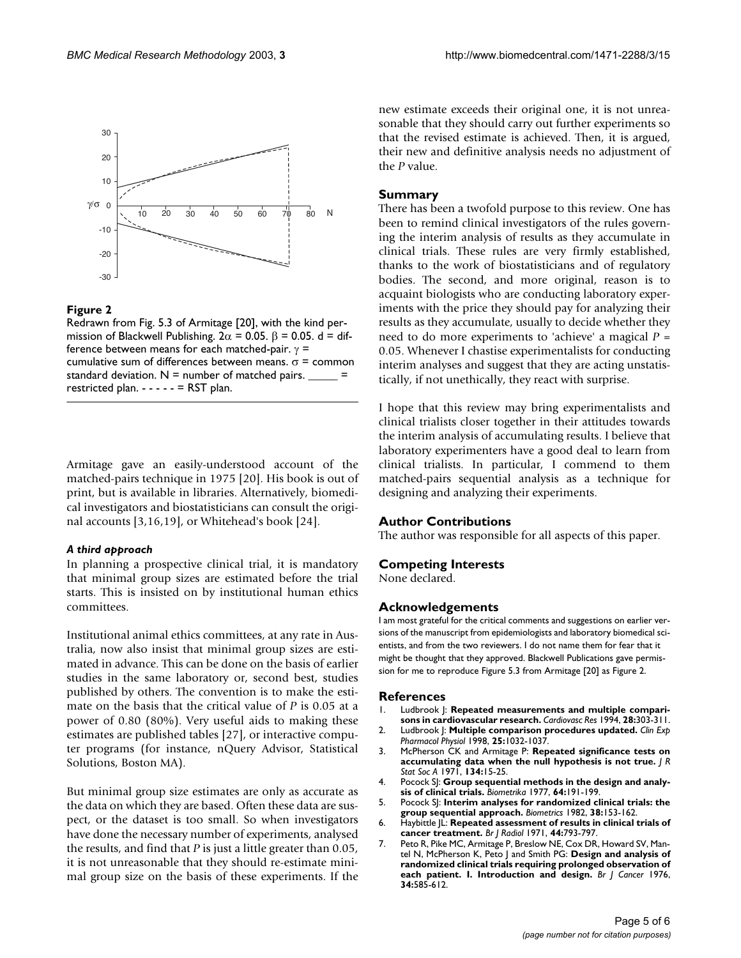

# Figure 2

Redrawn from Fig. 5.3 of Armitage [20], with the kind permission of Blackwell Publishing.  $2\alpha = 0.05$ .  $\beta = 0.05$ . d = difference between means for each matched-pair.  $\gamma$  = cumulative sum of differences between means.  $σ = common$ standard deviation.  $N =$  number of matched pairs.  $\frac{1}{2}$  = restricted plan.  $- - - - =$  RST plan.

Armitage gave an easily-understood account of the matched-pairs technique in 1975 [20]. His book is out of print, but is available in libraries. Alternatively, biomedical investigators and biostatisticians can consult the original accounts [3,16,19], or Whitehead's book [24].

# *A third approach*

In planning a prospective clinical trial, it is mandatory that minimal group sizes are estimated before the trial starts. This is insisted on by institutional human ethics committees.

Institutional animal ethics committees, at any rate in Australia, now also insist that minimal group sizes are estimated in advance. This can be done on the basis of earlier studies in the same laboratory or, second best, studies published by others. The convention is to make the estimate on the basis that the critical value of *P* is 0.05 at a power of 0.80 (80%). Very useful aids to making these estimates are published tables [27], or interactive computer programs (for instance, nQuery Advisor, Statistical Solutions, Boston MA).

But minimal group size estimates are only as accurate as the data on which they are based. Often these data are suspect, or the dataset is too small. So when investigators have done the necessary number of experiments, analysed the results, and find that *P* is just a little greater than 0.05, it is not unreasonable that they should re-estimate minimal group size on the basis of these experiments. If the new estimate exceeds their original one, it is not unreasonable that they should carry out further experiments so that the revised estimate is achieved. Then, it is argued, their new and definitive analysis needs no adjustment of the *P* value.

# **Summary**

There has been a twofold purpose to this review. One has been to remind clinical investigators of the rules governing the interim analysis of results as they accumulate in clinical trials. These rules are very firmly established, thanks to the work of biostatisticians and of regulatory bodies. The second, and more original, reason is to acquaint biologists who are conducting laboratory experiments with the price they should pay for analyzing their results as they accumulate, usually to decide whether they need to do more experiments to 'achieve' a magical *P* = 0.05. Whenever I chastise experimentalists for conducting interim analyses and suggest that they are acting unstatistically, if not unethically, they react with surprise.

I hope that this review may bring experimentalists and clinical trialists closer together in their attitudes towards the interim analysis of accumulating results. I believe that laboratory experimenters have a good deal to learn from clinical trialists. In particular, I commend to them matched-pairs sequential analysis as a technique for designing and analyzing their experiments.

# **Author Contributions**

The author was responsible for all aspects of this paper.

# **Competing Interests**

None declared.

# **Acknowledgements**

I am most grateful for the critical comments and suggestions on earlier versions of the manuscript from epidemiologists and laboratory biomedical scientists, and from the two reviewers. I do not name them for fear that it might be thought that they approved. Blackwell Publications gave permission for me to reproduce Figure 5.3 from Armitage [20] as Figure 2.

# **References**

- 1. Ludbrook J: **[Repeated measurements and multiple compari](http://www.ncbi.nlm.nih.gov/entrez/query.fcgi?cmd=Retrieve&db=PubMed&dopt=Abstract&list_uids=8174149)[sons in cardiovascular research.](http://www.ncbi.nlm.nih.gov/entrez/query.fcgi?cmd=Retrieve&db=PubMed&dopt=Abstract&list_uids=8174149)** *Cardiovasc Res* 1994, **28:**303-311.
- 2. Ludbrook J: **[Multiple comparison procedures updated.](http://www.ncbi.nlm.nih.gov/entrez/query.fcgi?cmd=Retrieve&db=PubMed&dopt=Abstract&list_uids=9888002)** *Clin Exp Pharmacol Physiol* 1998, **25:**1032-1037.
- 3. McPherson CK and Armitage P: **Repeated significance tests on accumulating data when the null hypothesis is not true.** *J R Stat Soc A* 1971, **134:**15-25.
- 4. Pocock SJ: **Group sequential methods in the design and analysis of clinical trials.** *Biometrika* 1977, **64:**191-199.
- 5. Pocock SJ: **[Interim analyses for randomized clinical trials: the](http://www.ncbi.nlm.nih.gov/entrez/query.fcgi?cmd=Retrieve&db=PubMed&dopt=Abstract&list_uids=7082757) [group sequential approach.](http://www.ncbi.nlm.nih.gov/entrez/query.fcgi?cmd=Retrieve&db=PubMed&dopt=Abstract&list_uids=7082757)** *Biometrics* 1982, **38:**153-162.
- 6. Haybittle JL: **[Repeated assessment of results in clinical trials of](http://www.ncbi.nlm.nih.gov/entrez/query.fcgi?cmd=Retrieve&db=PubMed&dopt=Abstract&list_uids=4940475) [cancer treatment.](http://www.ncbi.nlm.nih.gov/entrez/query.fcgi?cmd=Retrieve&db=PubMed&dopt=Abstract&list_uids=4940475)** *Br J Radiol* 1971, **44:**793-797.
- 7. Peto R, Pike MC, Armitage P, Breslow NE, Cox DR, Howard SV, Mantel N, McPherson K, Peto J and Smith PG: **[Design and analysis of](http://www.ncbi.nlm.nih.gov/entrez/query.fcgi?cmd=Retrieve&db=PubMed&dopt=Abstract&list_uids=795448) [randomized clinical trials requiring prolonged observation of](http://www.ncbi.nlm.nih.gov/entrez/query.fcgi?cmd=Retrieve&db=PubMed&dopt=Abstract&list_uids=795448) [each patient. I. Introduction and design.](http://www.ncbi.nlm.nih.gov/entrez/query.fcgi?cmd=Retrieve&db=PubMed&dopt=Abstract&list_uids=795448)** *Br J Cancer* 1976, **34:**585-612.